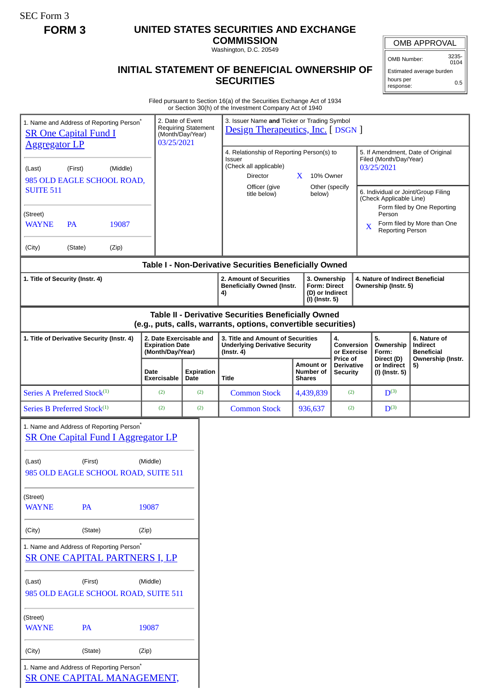SEC Form 3

# **FORM 3 UNITED STATES SECURITIES AND EXCHANGE**

**COMMISSION** Washington, D.C. 20549

### OMB APPROVAL

OMB Number: 3235- 0104

## **INITIAL STATEMENT OF BENEFICIAL OWNERSHIP OF SECURITIES**

Estimated average burden hours per response: 0.5

Filed pursuant to Section 16(a) of the Securities Exchange Act of 1934 or Section 30(h) of the Investment Company Act of 1940

|                                                                                     |           |                                                                                                    |                                                                       |                                                | or Section 30(11) or the investment Company Act or 1940                                                               |                                                                          |                                                                                     |                                                                                                                                                                                      |                                                                         |                                                                          |
|-------------------------------------------------------------------------------------|-----------|----------------------------------------------------------------------------------------------------|-----------------------------------------------------------------------|------------------------------------------------|-----------------------------------------------------------------------------------------------------------------------|--------------------------------------------------------------------------|-------------------------------------------------------------------------------------|--------------------------------------------------------------------------------------------------------------------------------------------------------------------------------------|-------------------------------------------------------------------------|--------------------------------------------------------------------------|
| <b>SR One Capital Fund I</b>                                                        |           | 1. Name and Address of Reporting Person <sup>*</sup>                                               | 2. Date of Event<br>03/25/2021                                        | <b>Requiring Statement</b><br>(Month/Day/Year) | 3. Issuer Name and Ticker or Trading Symbol<br><b>Design Therapeutics, Inc.</b> [ DSGN ]                              |                                                                          |                                                                                     |                                                                                                                                                                                      |                                                                         |                                                                          |
| <b>Aggregator LP</b><br>(First)<br>(Middle)<br>(Last)<br>985 OLD EAGLE SCHOOL ROAD, |           |                                                                                                    |                                                                       |                                                | 4. Relationship of Reporting Person(s) to<br>Issuer<br>(Check all applicable)<br>Director                             | X<br>10% Owner                                                           | Other (specify                                                                      | 5. If Amendment, Date of Original<br>Filed (Month/Day/Year)<br>03/25/2021<br>6. Individual or Joint/Group Filing<br>(Check Applicable Line)<br>Form filed by One Reporting<br>Person |                                                                         |                                                                          |
| <b>SUITE 511</b>                                                                    |           |                                                                                                    |                                                                       |                                                | Officer (give<br>title below)                                                                                         | below)                                                                   |                                                                                     |                                                                                                                                                                                      |                                                                         |                                                                          |
| (Street)<br><b>WAYNE</b>                                                            | <b>PA</b> | 19087                                                                                              |                                                                       |                                                |                                                                                                                       |                                                                          |                                                                                     |                                                                                                                                                                                      | Form filed by More than One<br>X<br><b>Reporting Person</b>             |                                                                          |
| (City)                                                                              | (State)   | (Zip)                                                                                              |                                                                       |                                                |                                                                                                                       |                                                                          |                                                                                     |                                                                                                                                                                                      |                                                                         |                                                                          |
|                                                                                     |           |                                                                                                    |                                                                       |                                                | Table I - Non-Derivative Securities Beneficially Owned                                                                |                                                                          |                                                                                     |                                                                                                                                                                                      |                                                                         |                                                                          |
| 1. Title of Security (Instr. 4)                                                     |           |                                                                                                    |                                                                       |                                                | 2. Amount of Securities<br><b>Beneficially Owned (Instr.</b><br>4)                                                    | 3. Ownership<br><b>Form: Direct</b><br>(D) or Indirect<br>(I) (Instr. 5) |                                                                                     |                                                                                                                                                                                      | 4. Nature of Indirect Beneficial<br>Ownership (Instr. 5)                |                                                                          |
|                                                                                     |           |                                                                                                    |                                                                       |                                                | Table II - Derivative Securities Beneficially Owned<br>(e.g., puts, calls, warrants, options, convertible securities) |                                                                          |                                                                                     |                                                                                                                                                                                      |                                                                         |                                                                          |
| 1. Title of Derivative Security (Instr. 4)                                          |           |                                                                                                    | 2. Date Exercisable and<br><b>Expiration Date</b><br>(Month/Day/Year) |                                                | 3. Title and Amount of Securities<br><b>Underlying Derivative Security</b><br>$($ Instr. 4 $)$                        |                                                                          | 4.<br>Conversion<br>or Exercise<br>Price of<br><b>Derivative</b><br><b>Security</b> |                                                                                                                                                                                      | 5.<br>Ownership<br>Form:<br>Direct (D)<br>or Indirect<br>(I) (Instr. 5) | 6. Nature of<br>Indirect<br><b>Beneficial</b><br>Ownership (Instr.<br>5) |
|                                                                                     |           |                                                                                                    | Date<br><b>Exercisable</b>                                            | <b>Expiration</b><br>Date                      | <b>Title</b>                                                                                                          | <b>Amount or</b><br>Number of<br><b>Shares</b>                           |                                                                                     |                                                                                                                                                                                      |                                                                         |                                                                          |
| Series A Preferred Stock <sup>(1)</sup>                                             |           |                                                                                                    | (2)                                                                   | (2)                                            | <b>Common Stock</b>                                                                                                   | 4,439,839                                                                | (2)                                                                                 |                                                                                                                                                                                      | $D^{(3)}$                                                               |                                                                          |
| Series B Preferred Stock <sup>(1)</sup>                                             |           |                                                                                                    | (2)                                                                   | (2)                                            | <b>Common Stock</b>                                                                                                   | 936,637                                                                  | (2)                                                                                 |                                                                                                                                                                                      | $D^{(3)}$                                                               |                                                                          |
|                                                                                     |           | 1. Name and Address of Reporting Person <sup>®</sup><br><b>SR One Capital Fund I Aggregator LP</b> |                                                                       |                                                |                                                                                                                       |                                                                          |                                                                                     |                                                                                                                                                                                      |                                                                         |                                                                          |
| (Last)                                                                              | (First)   | 985 OLD EAGLE SCHOOL ROAD, SUITE 511                                                               | (Middle)                                                              |                                                |                                                                                                                       |                                                                          |                                                                                     |                                                                                                                                                                                      |                                                                         |                                                                          |
| (Street)<br><b>WAYNE</b>                                                            | <b>PA</b> |                                                                                                    | 19087                                                                 |                                                |                                                                                                                       |                                                                          |                                                                                     |                                                                                                                                                                                      |                                                                         |                                                                          |
| (City)                                                                              | (State)   |                                                                                                    | (Zip)                                                                 |                                                |                                                                                                                       |                                                                          |                                                                                     |                                                                                                                                                                                      |                                                                         |                                                                          |
|                                                                                     |           | 1. Name and Address of Reporting Person <sup>*</sup><br>SR ONE CAPITAL PARTNERS I, LP              |                                                                       |                                                |                                                                                                                       |                                                                          |                                                                                     |                                                                                                                                                                                      |                                                                         |                                                                          |
| (Last)                                                                              | (First)   | 985 OLD EAGLE SCHOOL ROAD, SUITE 511                                                               | (Middle)                                                              |                                                |                                                                                                                       |                                                                          |                                                                                     |                                                                                                                                                                                      |                                                                         |                                                                          |
| (Street)<br><b>WAYNE</b>                                                            | PA        |                                                                                                    | 19087                                                                 |                                                |                                                                                                                       |                                                                          |                                                                                     |                                                                                                                                                                                      |                                                                         |                                                                          |
| (City)                                                                              | (State)   |                                                                                                    | (Zip)                                                                 |                                                |                                                                                                                       |                                                                          |                                                                                     |                                                                                                                                                                                      |                                                                         |                                                                          |
|                                                                                     |           | 1. Name and Address of Reporting Person <sup>®</sup><br><b>SR ONE CAPITAL MANAGEMENT,</b>          |                                                                       |                                                |                                                                                                                       |                                                                          |                                                                                     |                                                                                                                                                                                      |                                                                         |                                                                          |